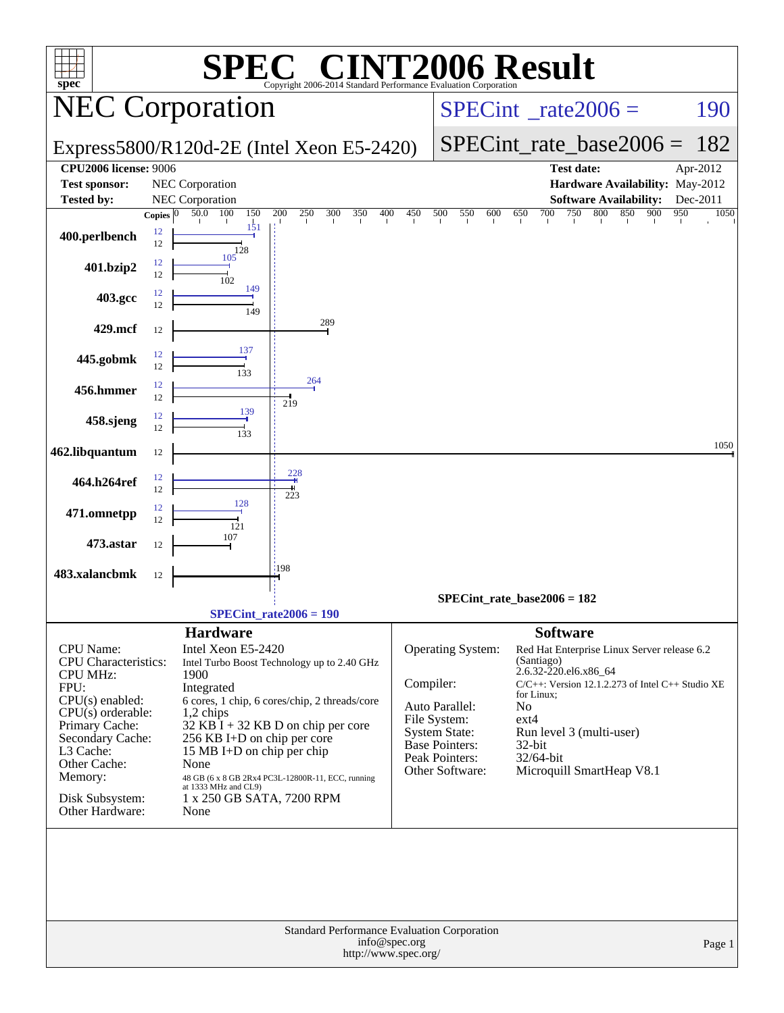| $spec^*$                                  |                    |                                       | $\mathbf{Q}$                                      |                                          |                            | <b>VT2006 Result</b><br>Copyright 2006-2014 Standard Performance Evaluation Corporation |                               |                                                  |             |
|-------------------------------------------|--------------------|---------------------------------------|---------------------------------------------------|------------------------------------------|----------------------------|-----------------------------------------------------------------------------------------|-------------------------------|--------------------------------------------------|-------------|
| <b>NEC Corporation</b>                    |                    |                                       |                                                   | $SPECint^{\circ}$ <sub>_rate2006</sub> = |                            | 190                                                                                     |                               |                                                  |             |
| Express5800/R120d-2E (Intel Xeon E5-2420) |                    |                                       |                                                   |                                          | $SPECint_rate\_base2006 =$ | 182                                                                                     |                               |                                                  |             |
| <b>CPU2006 license: 9006</b>              |                    |                                       |                                                   |                                          |                            |                                                                                         | <b>Test date:</b>             |                                                  | Apr-2012    |
| <b>Test sponsor:</b>                      |                    | NEC Corporation                       |                                                   |                                          |                            |                                                                                         |                               | Hardware Availability: May-2012                  |             |
| <b>Tested by:</b>                         |                    | NEC Corporation                       |                                                   |                                          |                            |                                                                                         |                               | <b>Software Availability:</b>                    | Dec-2011    |
|                                           | Copies $ 0\rangle$ | 50.0 100                              | 150<br>$\overline{200}$<br>$\frac{250}{1}$        | 300<br>350<br>400                        | 450                        | 500<br>550<br>600                                                                       | 700<br>750<br>650             | 800<br>900<br>850                                | 950<br>1050 |
| 400.perlbench                             | 12<br>12           | 128                                   | 151                                               |                                          |                            |                                                                                         |                               |                                                  |             |
| 401.bzip2                                 | 12<br>12           | 105<br>102                            |                                                   |                                          |                            |                                                                                         |                               |                                                  |             |
| 403.gcc                                   | 12<br>12           |                                       | 149<br>149                                        |                                          |                            |                                                                                         |                               |                                                  |             |
| 429.mcf                                   | 12                 |                                       | 289                                               |                                          |                            |                                                                                         |                               |                                                  |             |
| 445.gobmk                                 | 12<br>12           | 133                                   | 137                                               |                                          |                            |                                                                                         |                               |                                                  |             |
| 456.hmmer                                 | 12<br>12           |                                       | 264<br>219                                        |                                          |                            |                                                                                         |                               |                                                  |             |
| 458.sjeng                                 | 12<br>12           | 133                                   | 139                                               |                                          |                            |                                                                                         |                               |                                                  |             |
| 462.libquantum                            | 12                 |                                       | 228                                               |                                          |                            |                                                                                         |                               |                                                  | 1050        |
| 464.h264ref                               | 12<br>12           | 128                                   | 223                                               |                                          |                            |                                                                                         |                               |                                                  |             |
| 471.omnetpp                               | 12<br>12           | 121<br>107                            |                                                   |                                          |                            |                                                                                         |                               |                                                  |             |
| 473.astar                                 | 12                 |                                       | :198                                              |                                          |                            |                                                                                         |                               |                                                  |             |
| 483.xalancbmk                             | 12                 |                                       |                                                   |                                          |                            |                                                                                         |                               |                                                  |             |
|                                           |                    |                                       |                                                   |                                          |                            |                                                                                         | $SPECint_rate_base2006 = 182$ |                                                  |             |
|                                           |                    |                                       | $SPECint_rate2006 = 190$                          |                                          |                            |                                                                                         |                               |                                                  |             |
| CPU Name:                                 |                    | <b>Hardware</b><br>Intel Xeon E5-2420 |                                                   |                                          |                            | Operating System:                                                                       | <b>Software</b>               | Red Hat Enterprise Linux Server release 6.2      |             |
| CPU Characteristics:                      |                    |                                       | Intel Turbo Boost Technology up to 2.40 GHz       |                                          |                            |                                                                                         | (Santiago)                    |                                                  |             |
| <b>CPU MHz:</b>                           |                    | 1900                                  |                                                   |                                          |                            |                                                                                         | 2.6.32-220.el6.x86_64         |                                                  |             |
| FPU:                                      |                    | Integrated                            |                                                   |                                          |                            | Compiler:                                                                               | for Linux;                    | C/C++: Version 12.1.2.273 of Intel C++ Studio XE |             |
| CPU(s) enabled:<br>$CPU(s)$ orderable:    |                    | $1,2$ chips                           | 6 cores, 1 chip, 6 cores/chip, 2 threads/core     |                                          |                            | Auto Parallel:                                                                          | No                            |                                                  |             |
| Primary Cache:                            |                    |                                       | $32$ KB $\hat{I}$ + 32 KB D on chip per core      |                                          |                            | File System:<br>System State:                                                           | $ext{4}$                      |                                                  |             |
| Secondary Cache:                          |                    |                                       | 256 KB I+D on chip per core                       |                                          |                            | Base Pointers:                                                                          | 32-bit                        | Run level 3 (multi-user)                         |             |
| L3 Cache:                                 |                    |                                       | 15 MB I+D on chip per chip                        |                                          |                            | Peak Pointers:                                                                          | 32/64-bit                     |                                                  |             |
| Other Cache:<br>Memory:                   |                    | None                                  | 48 GB (6 x 8 GB 2Rx4 PC3L-12800R-11, ECC, running |                                          |                            | Other Software:                                                                         |                               | Microquill SmartHeap V8.1                        |             |
|                                           |                    | at 1333 MHz and CL9)                  |                                                   |                                          |                            |                                                                                         |                               |                                                  |             |
| Disk Subsystem:<br>Other Hardware:        |                    | None                                  | 1 x 250 GB SATA, 7200 RPM                         |                                          |                            |                                                                                         |                               |                                                  |             |
|                                           |                    |                                       |                                                   |                                          |                            | Standard Performance Evaluation Corporation                                             |                               |                                                  |             |
|                                           |                    |                                       |                                                   | http://www.spec.org/                     | info@spec.org              |                                                                                         |                               |                                                  | Page 1      |
|                                           |                    |                                       |                                                   |                                          |                            |                                                                                         |                               |                                                  |             |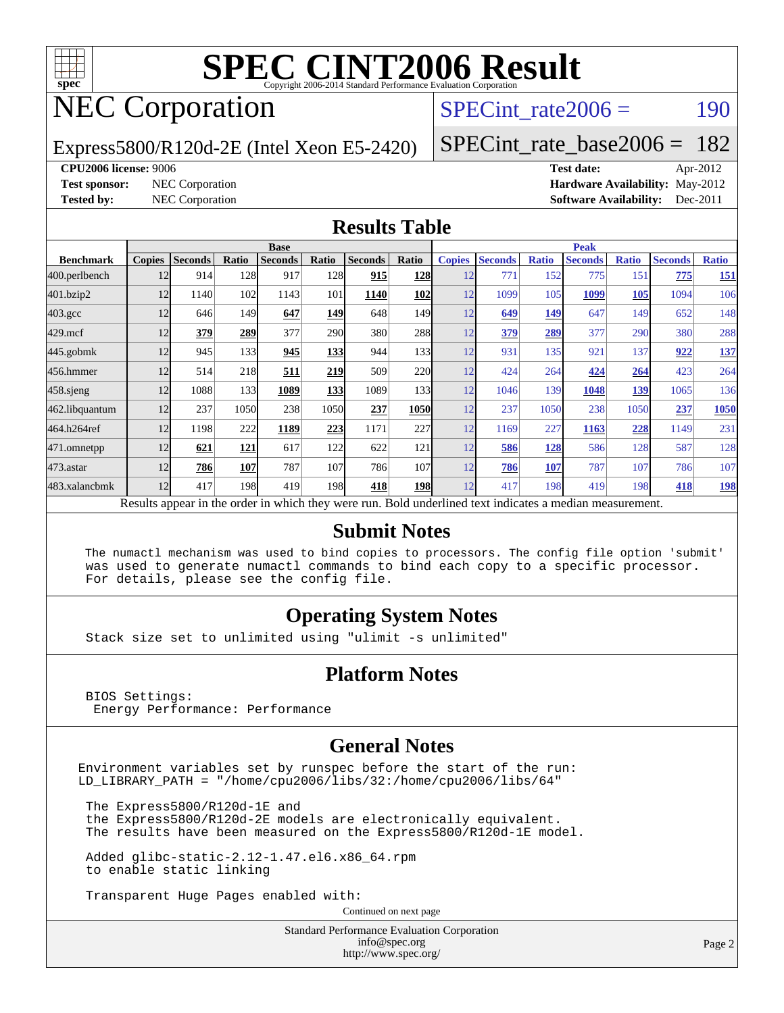

## NEC Corporation

SPECint rate $2006 = 190$ 

[SPECint\\_rate\\_base2006 =](http://www.spec.org/auto/cpu2006/Docs/result-fields.html#SPECintratebase2006) 182

#### Express5800/R120d-2E (Intel Xeon E5-2420)

**[CPU2006 license:](http://www.spec.org/auto/cpu2006/Docs/result-fields.html#CPU2006license)** 9006 **[Test date:](http://www.spec.org/auto/cpu2006/Docs/result-fields.html#Testdate)** Apr-2012 **[Test sponsor:](http://www.spec.org/auto/cpu2006/Docs/result-fields.html#Testsponsor)** NEC Corporation **[Hardware Availability:](http://www.spec.org/auto/cpu2006/Docs/result-fields.html#HardwareAvailability)** May-2012 **[Tested by:](http://www.spec.org/auto/cpu2006/Docs/result-fields.html#Testedby)** NEC Corporation **[Software Availability:](http://www.spec.org/auto/cpu2006/Docs/result-fields.html#SoftwareAvailability)** Dec-2011

#### **[Results Table](http://www.spec.org/auto/cpu2006/Docs/result-fields.html#ResultsTable)**

|                                                                                                          | <b>Base</b>   |                |       |                |              |                |             | <b>Peak</b>   |                |              |                |              |                |              |  |
|----------------------------------------------------------------------------------------------------------|---------------|----------------|-------|----------------|--------------|----------------|-------------|---------------|----------------|--------------|----------------|--------------|----------------|--------------|--|
| <b>Benchmark</b>                                                                                         | <b>Copies</b> | <b>Seconds</b> | Ratio | <b>Seconds</b> | Ratio        | <b>Seconds</b> | Ratio       | <b>Copies</b> | <b>Seconds</b> | <b>Ratio</b> | <b>Seconds</b> | <b>Ratio</b> | <b>Seconds</b> | <b>Ratio</b> |  |
| 400.perlbench                                                                                            | 12            | 914            | 128   | 917            | 128          | 915            | <b>128</b>  | 12            | 771            | 152          | 775            | 151          | 775            | <u>151</u>   |  |
| 401.bzip2                                                                                                | 12            | 1140           | 102   | 1143           | 101          | 1140           | <b>102</b>  | 12            | 1099           | 105          | 1099           | <b>105</b>   | 1094           | 106          |  |
| $403.\mathrm{gcc}$                                                                                       | 12            | 646            | 149   | 647            | 149          | 648            | 149I        | 12            | 649            | 149          | 647            | 149          | 652            | 148          |  |
| $429$ .mcf                                                                                               | 12            | 379            | 289   | 377            | <b>290</b>   | 380            | <b>288</b>  | 12            | 379            | 289          | 377            | 290          | 380            | 288          |  |
| $445$ .gobm $k$                                                                                          | 12            | 945            | 133   | 945            | <u>133  </u> | 944            | 133         | 12            | 931            | 135          | 921            | 137          | 922            | 137          |  |
| 456.hmmer                                                                                                | 12            | 514            | 218   | 511            | 219          | 509            | 220         | 12            | 424            | 264          | 424            | 264          | 423            | 264          |  |
| $458$ .sjeng                                                                                             | 12            | 1088           | 133   | 1089           | 133          | 1089           | 133         | 12            | 1046           | 139          | 1048           | 139          | 1065           | 136          |  |
| 462.libquantum                                                                                           | 12            | 237            | 1050  | 238            | 1050         | 237            | <b>1050</b> | 12            | 237            | 1050         | 238            | 1050         | 237            | 1050         |  |
| 464.h264ref                                                                                              | 12            | 1198           | 222   | 1189           | 223          | 1171           | 227         | 12            | 1169           | 227          | 1163           | 228          | 1149           | 231          |  |
| 471.omnetpp                                                                                              | 12            | 621            | 121   | 617            | 122          | 622            | 121         | 12            | 586            | 128          | 586            | 128          | 587            | 128          |  |
| $473$ . astar                                                                                            | 12            | 786            | 107   | 787            | 107          | 786            | 107         | 12            | 786            | 107          | 787            | 107          | 786            | 107          |  |
| 483.xalancbmk                                                                                            | 12            | 417            | 198   | 419            | 198          | 418            | <b>198</b>  | 12            | 417            | 198          | 419            | 198          | 418            | <u>198</u>   |  |
| Results appear in the order in which they were run. Bold underlined text indicates a median measurement. |               |                |       |                |              |                |             |               |                |              |                |              |                |              |  |

#### **[Submit Notes](http://www.spec.org/auto/cpu2006/Docs/result-fields.html#SubmitNotes)**

 The numactl mechanism was used to bind copies to processors. The config file option 'submit' was used to generate numactl commands to bind each copy to a specific processor. For details, please see the config file.

### **[Operating System Notes](http://www.spec.org/auto/cpu2006/Docs/result-fields.html#OperatingSystemNotes)**

Stack size set to unlimited using "ulimit -s unlimited"

#### **[Platform Notes](http://www.spec.org/auto/cpu2006/Docs/result-fields.html#PlatformNotes)**

 BIOS Settings: Energy Performance: Performance

#### **[General Notes](http://www.spec.org/auto/cpu2006/Docs/result-fields.html#GeneralNotes)**

Environment variables set by runspec before the start of the run: LD\_LIBRARY\_PATH = "/home/cpu2006/libs/32:/home/cpu2006/libs/64"

 The Express5800/R120d-1E and the Express5800/R120d-2E models are electronically equivalent. The results have been measured on the Express5800/R120d-1E model.

 Added glibc-static-2.12-1.47.el6.x86\_64.rpm to enable static linking

Transparent Huge Pages enabled with:

Continued on next page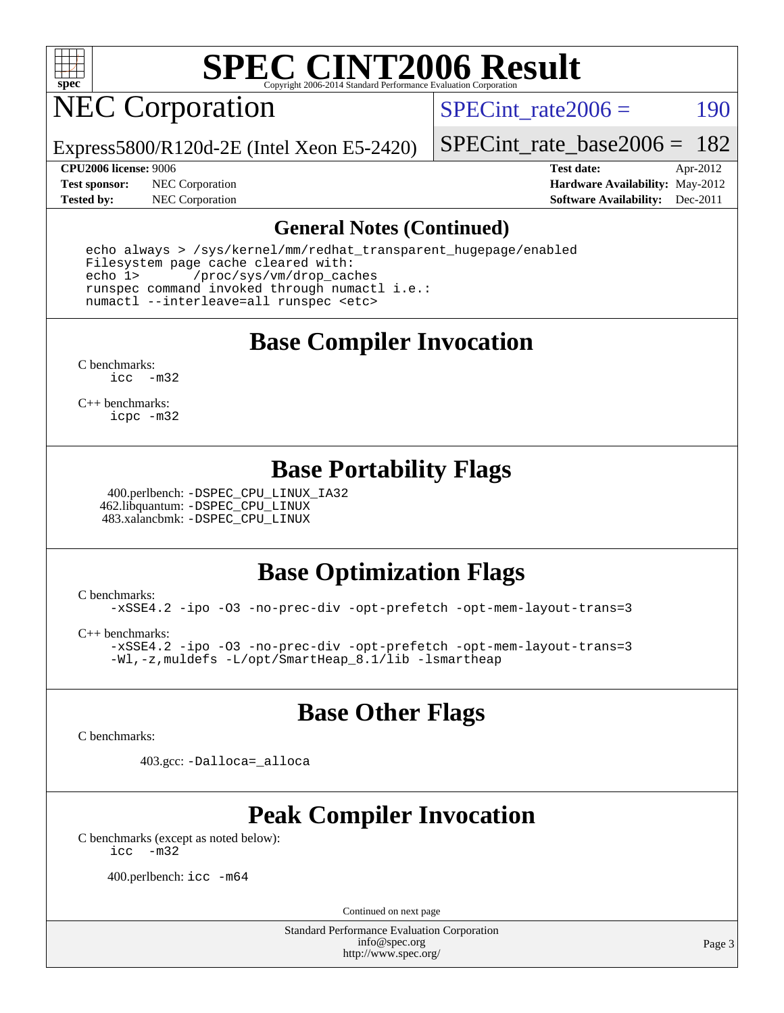

## NEC Corporation

SPECint rate $2006 = 190$ 

Express5800/R120d-2E (Intel Xeon E5-2420)

[SPECint\\_rate\\_base2006 =](http://www.spec.org/auto/cpu2006/Docs/result-fields.html#SPECintratebase2006) 182

**[Test sponsor:](http://www.spec.org/auto/cpu2006/Docs/result-fields.html#Testsponsor)** NEC Corporation **[Hardware Availability:](http://www.spec.org/auto/cpu2006/Docs/result-fields.html#HardwareAvailability)** May-2012

**[CPU2006 license:](http://www.spec.org/auto/cpu2006/Docs/result-fields.html#CPU2006license)** 9006 **[Test date:](http://www.spec.org/auto/cpu2006/Docs/result-fields.html#Testdate)** Apr-2012 **[Tested by:](http://www.spec.org/auto/cpu2006/Docs/result-fields.html#Testedby)** NEC Corporation **[Software Availability:](http://www.spec.org/auto/cpu2006/Docs/result-fields.html#SoftwareAvailability)** Dec-2011

#### **[General Notes \(Continued\)](http://www.spec.org/auto/cpu2006/Docs/result-fields.html#GeneralNotes)**

 echo always > /sys/kernel/mm/redhat\_transparent\_hugepage/enabled Filesystem page cache cleared with: echo 1> /proc/sys/vm/drop\_caches runspec command invoked through numactl i.e.: numactl --interleave=all runspec <etc>

**[Base Compiler Invocation](http://www.spec.org/auto/cpu2006/Docs/result-fields.html#BaseCompilerInvocation)**

[C benchmarks](http://www.spec.org/auto/cpu2006/Docs/result-fields.html#Cbenchmarks): [icc -m32](http://www.spec.org/cpu2006/results/res2012q3/cpu2006-20120617-22937.flags.html#user_CCbase_intel_icc_5ff4a39e364c98233615fdd38438c6f2)

[C++ benchmarks:](http://www.spec.org/auto/cpu2006/Docs/result-fields.html#CXXbenchmarks) [icpc -m32](http://www.spec.org/cpu2006/results/res2012q3/cpu2006-20120617-22937.flags.html#user_CXXbase_intel_icpc_4e5a5ef1a53fd332b3c49e69c3330699)

### **[Base Portability Flags](http://www.spec.org/auto/cpu2006/Docs/result-fields.html#BasePortabilityFlags)**

 400.perlbench: [-DSPEC\\_CPU\\_LINUX\\_IA32](http://www.spec.org/cpu2006/results/res2012q3/cpu2006-20120617-22937.flags.html#b400.perlbench_baseCPORTABILITY_DSPEC_CPU_LINUX_IA32) 462.libquantum: [-DSPEC\\_CPU\\_LINUX](http://www.spec.org/cpu2006/results/res2012q3/cpu2006-20120617-22937.flags.html#b462.libquantum_baseCPORTABILITY_DSPEC_CPU_LINUX) 483.xalancbmk: [-DSPEC\\_CPU\\_LINUX](http://www.spec.org/cpu2006/results/res2012q3/cpu2006-20120617-22937.flags.html#b483.xalancbmk_baseCXXPORTABILITY_DSPEC_CPU_LINUX)

### **[Base Optimization Flags](http://www.spec.org/auto/cpu2006/Docs/result-fields.html#BaseOptimizationFlags)**

[C benchmarks](http://www.spec.org/auto/cpu2006/Docs/result-fields.html#Cbenchmarks): [-xSSE4.2](http://www.spec.org/cpu2006/results/res2012q3/cpu2006-20120617-22937.flags.html#user_CCbase_f-xSSE42_f91528193cf0b216347adb8b939d4107) [-ipo](http://www.spec.org/cpu2006/results/res2012q3/cpu2006-20120617-22937.flags.html#user_CCbase_f-ipo) [-O3](http://www.spec.org/cpu2006/results/res2012q3/cpu2006-20120617-22937.flags.html#user_CCbase_f-O3) [-no-prec-div](http://www.spec.org/cpu2006/results/res2012q3/cpu2006-20120617-22937.flags.html#user_CCbase_f-no-prec-div) [-opt-prefetch](http://www.spec.org/cpu2006/results/res2012q3/cpu2006-20120617-22937.flags.html#user_CCbase_f-opt-prefetch) [-opt-mem-layout-trans=3](http://www.spec.org/cpu2006/results/res2012q3/cpu2006-20120617-22937.flags.html#user_CCbase_f-opt-mem-layout-trans_a7b82ad4bd7abf52556d4961a2ae94d5)

[C++ benchmarks:](http://www.spec.org/auto/cpu2006/Docs/result-fields.html#CXXbenchmarks) [-xSSE4.2](http://www.spec.org/cpu2006/results/res2012q3/cpu2006-20120617-22937.flags.html#user_CXXbase_f-xSSE42_f91528193cf0b216347adb8b939d4107) [-ipo](http://www.spec.org/cpu2006/results/res2012q3/cpu2006-20120617-22937.flags.html#user_CXXbase_f-ipo) [-O3](http://www.spec.org/cpu2006/results/res2012q3/cpu2006-20120617-22937.flags.html#user_CXXbase_f-O3) [-no-prec-div](http://www.spec.org/cpu2006/results/res2012q3/cpu2006-20120617-22937.flags.html#user_CXXbase_f-no-prec-div) [-opt-prefetch](http://www.spec.org/cpu2006/results/res2012q3/cpu2006-20120617-22937.flags.html#user_CXXbase_f-opt-prefetch) [-opt-mem-layout-trans=3](http://www.spec.org/cpu2006/results/res2012q3/cpu2006-20120617-22937.flags.html#user_CXXbase_f-opt-mem-layout-trans_a7b82ad4bd7abf52556d4961a2ae94d5) [-Wl,-z,muldefs](http://www.spec.org/cpu2006/results/res2012q3/cpu2006-20120617-22937.flags.html#user_CXXbase_link_force_multiple1_74079c344b956b9658436fd1b6dd3a8a) [-L/opt/SmartHeap\\_8.1/lib -lsmartheap](http://www.spec.org/cpu2006/results/res2012q3/cpu2006-20120617-22937.flags.html#user_CXXbase_SmartHeap_d5ba4dfc9de25d3c657c7de7476e66c5)

### **[Base Other Flags](http://www.spec.org/auto/cpu2006/Docs/result-fields.html#BaseOtherFlags)**

[C benchmarks](http://www.spec.org/auto/cpu2006/Docs/result-fields.html#Cbenchmarks):

403.gcc: [-Dalloca=\\_alloca](http://www.spec.org/cpu2006/results/res2012q3/cpu2006-20120617-22937.flags.html#b403.gcc_baseEXTRA_CFLAGS_Dalloca_be3056838c12de2578596ca5467af7f3)

## **[Peak Compiler Invocation](http://www.spec.org/auto/cpu2006/Docs/result-fields.html#PeakCompilerInvocation)**

[C benchmarks \(except as noted below\)](http://www.spec.org/auto/cpu2006/Docs/result-fields.html#Cbenchmarksexceptasnotedbelow): [icc -m32](http://www.spec.org/cpu2006/results/res2012q3/cpu2006-20120617-22937.flags.html#user_CCpeak_intel_icc_5ff4a39e364c98233615fdd38438c6f2)

400.perlbench: [icc -m64](http://www.spec.org/cpu2006/results/res2012q3/cpu2006-20120617-22937.flags.html#user_peakCCLD400_perlbench_intel_icc_64bit_bda6cc9af1fdbb0edc3795bac97ada53)

Continued on next page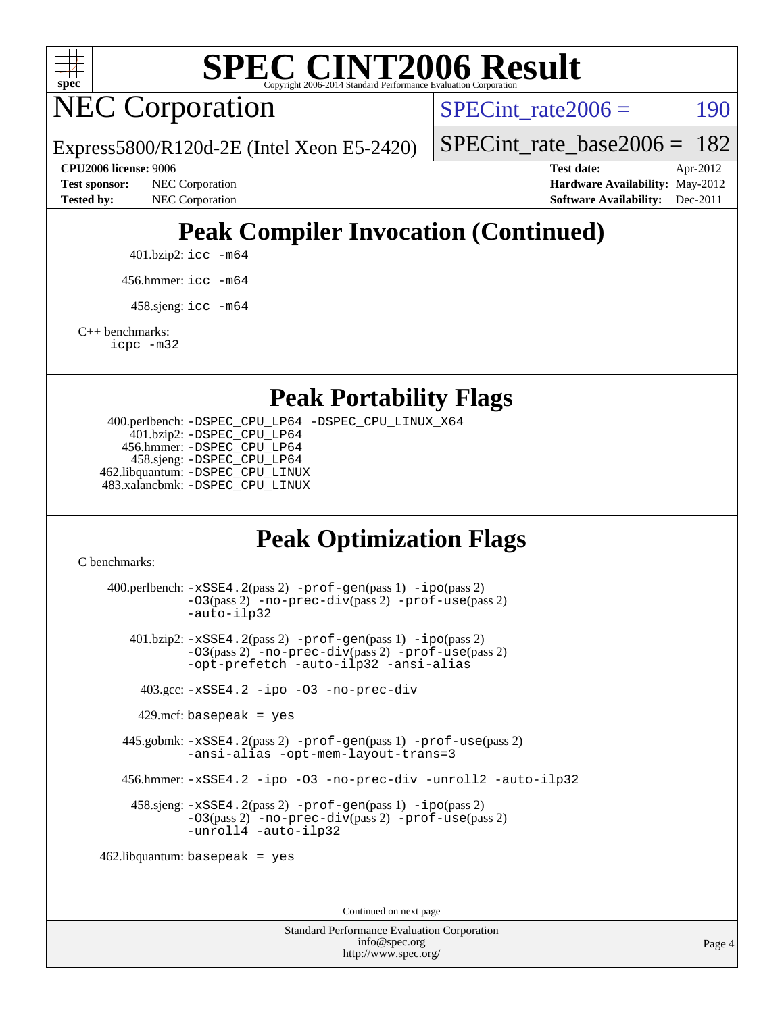

NEC Corporation

SPECint rate $2006 = 190$ 

[SPECint\\_rate\\_base2006 =](http://www.spec.org/auto/cpu2006/Docs/result-fields.html#SPECintratebase2006) 182

Express5800/R120d-2E (Intel Xeon E5-2420) **[CPU2006 license:](http://www.spec.org/auto/cpu2006/Docs/result-fields.html#CPU2006license)** 9006 **[Test date:](http://www.spec.org/auto/cpu2006/Docs/result-fields.html#Testdate)** Apr-2012

**[Test sponsor:](http://www.spec.org/auto/cpu2006/Docs/result-fields.html#Testsponsor)** NEC Corporation **[Hardware Availability:](http://www.spec.org/auto/cpu2006/Docs/result-fields.html#HardwareAvailability)** May-2012

**[Tested by:](http://www.spec.org/auto/cpu2006/Docs/result-fields.html#Testedby)** NEC Corporation **[Software Availability:](http://www.spec.org/auto/cpu2006/Docs/result-fields.html#SoftwareAvailability)** Dec-2011

## **[Peak Compiler Invocation \(Continued\)](http://www.spec.org/auto/cpu2006/Docs/result-fields.html#PeakCompilerInvocation)**

401.bzip2: [icc -m64](http://www.spec.org/cpu2006/results/res2012q3/cpu2006-20120617-22937.flags.html#user_peakCCLD401_bzip2_intel_icc_64bit_bda6cc9af1fdbb0edc3795bac97ada53)

456.hmmer: [icc -m64](http://www.spec.org/cpu2006/results/res2012q3/cpu2006-20120617-22937.flags.html#user_peakCCLD456_hmmer_intel_icc_64bit_bda6cc9af1fdbb0edc3795bac97ada53)

 $458 \text{.}$ sjeng: icc  $-\text{m64}$ 

[C++ benchmarks:](http://www.spec.org/auto/cpu2006/Docs/result-fields.html#CXXbenchmarks)

[icpc -m32](http://www.spec.org/cpu2006/results/res2012q3/cpu2006-20120617-22937.flags.html#user_CXXpeak_intel_icpc_4e5a5ef1a53fd332b3c49e69c3330699)

**[Peak Portability Flags](http://www.spec.org/auto/cpu2006/Docs/result-fields.html#PeakPortabilityFlags)**

 400.perlbench: [-DSPEC\\_CPU\\_LP64](http://www.spec.org/cpu2006/results/res2012q3/cpu2006-20120617-22937.flags.html#b400.perlbench_peakCPORTABILITY_DSPEC_CPU_LP64) [-DSPEC\\_CPU\\_LINUX\\_X64](http://www.spec.org/cpu2006/results/res2012q3/cpu2006-20120617-22937.flags.html#b400.perlbench_peakCPORTABILITY_DSPEC_CPU_LINUX_X64) 401.bzip2: [-DSPEC\\_CPU\\_LP64](http://www.spec.org/cpu2006/results/res2012q3/cpu2006-20120617-22937.flags.html#suite_peakCPORTABILITY401_bzip2_DSPEC_CPU_LP64) 456.hmmer: [-DSPEC\\_CPU\\_LP64](http://www.spec.org/cpu2006/results/res2012q3/cpu2006-20120617-22937.flags.html#suite_peakCPORTABILITY456_hmmer_DSPEC_CPU_LP64) 458.sjeng: [-DSPEC\\_CPU\\_LP64](http://www.spec.org/cpu2006/results/res2012q3/cpu2006-20120617-22937.flags.html#suite_peakCPORTABILITY458_sjeng_DSPEC_CPU_LP64) 462.libquantum: [-DSPEC\\_CPU\\_LINUX](http://www.spec.org/cpu2006/results/res2012q3/cpu2006-20120617-22937.flags.html#b462.libquantum_peakCPORTABILITY_DSPEC_CPU_LINUX) 483.xalancbmk: [-DSPEC\\_CPU\\_LINUX](http://www.spec.org/cpu2006/results/res2012q3/cpu2006-20120617-22937.flags.html#b483.xalancbmk_peakCXXPORTABILITY_DSPEC_CPU_LINUX)

## **[Peak Optimization Flags](http://www.spec.org/auto/cpu2006/Docs/result-fields.html#PeakOptimizationFlags)**

[C benchmarks](http://www.spec.org/auto/cpu2006/Docs/result-fields.html#Cbenchmarks):

 400.perlbench: [-xSSE4.2](http://www.spec.org/cpu2006/results/res2012q3/cpu2006-20120617-22937.flags.html#user_peakPASS2_CFLAGSPASS2_LDCFLAGS400_perlbench_f-xSSE42_f91528193cf0b216347adb8b939d4107)(pass 2) [-prof-gen](http://www.spec.org/cpu2006/results/res2012q3/cpu2006-20120617-22937.flags.html#user_peakPASS1_CFLAGSPASS1_LDCFLAGS400_perlbench_prof_gen_e43856698f6ca7b7e442dfd80e94a8fc)(pass 1) [-ipo](http://www.spec.org/cpu2006/results/res2012q3/cpu2006-20120617-22937.flags.html#user_peakPASS2_CFLAGSPASS2_LDCFLAGS400_perlbench_f-ipo)(pass 2) [-O3](http://www.spec.org/cpu2006/results/res2012q3/cpu2006-20120617-22937.flags.html#user_peakPASS2_CFLAGSPASS2_LDCFLAGS400_perlbench_f-O3)(pass 2) [-no-prec-div](http://www.spec.org/cpu2006/results/res2012q3/cpu2006-20120617-22937.flags.html#user_peakPASS2_CFLAGSPASS2_LDCFLAGS400_perlbench_f-no-prec-div)(pass 2) [-prof-use](http://www.spec.org/cpu2006/results/res2012q3/cpu2006-20120617-22937.flags.html#user_peakPASS2_CFLAGSPASS2_LDCFLAGS400_perlbench_prof_use_bccf7792157ff70d64e32fe3e1250b55)(pass 2) [-auto-ilp32](http://www.spec.org/cpu2006/results/res2012q3/cpu2006-20120617-22937.flags.html#user_peakCOPTIMIZE400_perlbench_f-auto-ilp32) 401.bzip2: [-xSSE4.2](http://www.spec.org/cpu2006/results/res2012q3/cpu2006-20120617-22937.flags.html#user_peakPASS2_CFLAGSPASS2_LDCFLAGS401_bzip2_f-xSSE42_f91528193cf0b216347adb8b939d4107)(pass 2) [-prof-gen](http://www.spec.org/cpu2006/results/res2012q3/cpu2006-20120617-22937.flags.html#user_peakPASS1_CFLAGSPASS1_LDCFLAGS401_bzip2_prof_gen_e43856698f6ca7b7e442dfd80e94a8fc)(pass 1) [-ipo](http://www.spec.org/cpu2006/results/res2012q3/cpu2006-20120617-22937.flags.html#user_peakPASS2_CFLAGSPASS2_LDCFLAGS401_bzip2_f-ipo)(pass 2) [-O3](http://www.spec.org/cpu2006/results/res2012q3/cpu2006-20120617-22937.flags.html#user_peakPASS2_CFLAGSPASS2_LDCFLAGS401_bzip2_f-O3)(pass 2) [-no-prec-div](http://www.spec.org/cpu2006/results/res2012q3/cpu2006-20120617-22937.flags.html#user_peakPASS2_CFLAGSPASS2_LDCFLAGS401_bzip2_f-no-prec-div)(pass 2) [-prof-use](http://www.spec.org/cpu2006/results/res2012q3/cpu2006-20120617-22937.flags.html#user_peakPASS2_CFLAGSPASS2_LDCFLAGS401_bzip2_prof_use_bccf7792157ff70d64e32fe3e1250b55)(pass 2) [-opt-prefetch](http://www.spec.org/cpu2006/results/res2012q3/cpu2006-20120617-22937.flags.html#user_peakCOPTIMIZE401_bzip2_f-opt-prefetch) [-auto-ilp32](http://www.spec.org/cpu2006/results/res2012q3/cpu2006-20120617-22937.flags.html#user_peakCOPTIMIZE401_bzip2_f-auto-ilp32) [-ansi-alias](http://www.spec.org/cpu2006/results/res2012q3/cpu2006-20120617-22937.flags.html#user_peakCOPTIMIZE401_bzip2_f-ansi-alias) 403.gcc: [-xSSE4.2](http://www.spec.org/cpu2006/results/res2012q3/cpu2006-20120617-22937.flags.html#user_peakCOPTIMIZE403_gcc_f-xSSE42_f91528193cf0b216347adb8b939d4107) [-ipo](http://www.spec.org/cpu2006/results/res2012q3/cpu2006-20120617-22937.flags.html#user_peakCOPTIMIZE403_gcc_f-ipo) [-O3](http://www.spec.org/cpu2006/results/res2012q3/cpu2006-20120617-22937.flags.html#user_peakCOPTIMIZE403_gcc_f-O3) [-no-prec-div](http://www.spec.org/cpu2006/results/res2012q3/cpu2006-20120617-22937.flags.html#user_peakCOPTIMIZE403_gcc_f-no-prec-div)  $429$ .mcf: basepeak = yes 445.gobmk: [-xSSE4.2](http://www.spec.org/cpu2006/results/res2012q3/cpu2006-20120617-22937.flags.html#user_peakPASS2_CFLAGSPASS2_LDCFLAGS445_gobmk_f-xSSE42_f91528193cf0b216347adb8b939d4107)(pass 2) [-prof-gen](http://www.spec.org/cpu2006/results/res2012q3/cpu2006-20120617-22937.flags.html#user_peakPASS1_CFLAGSPASS1_LDCFLAGS445_gobmk_prof_gen_e43856698f6ca7b7e442dfd80e94a8fc)(pass 1) [-prof-use](http://www.spec.org/cpu2006/results/res2012q3/cpu2006-20120617-22937.flags.html#user_peakPASS2_CFLAGSPASS2_LDCFLAGS445_gobmk_prof_use_bccf7792157ff70d64e32fe3e1250b55)(pass 2) [-ansi-alias](http://www.spec.org/cpu2006/results/res2012q3/cpu2006-20120617-22937.flags.html#user_peakCOPTIMIZE445_gobmk_f-ansi-alias) [-opt-mem-layout-trans=3](http://www.spec.org/cpu2006/results/res2012q3/cpu2006-20120617-22937.flags.html#user_peakCOPTIMIZE445_gobmk_f-opt-mem-layout-trans_a7b82ad4bd7abf52556d4961a2ae94d5) 456.hmmer: [-xSSE4.2](http://www.spec.org/cpu2006/results/res2012q3/cpu2006-20120617-22937.flags.html#user_peakCOPTIMIZE456_hmmer_f-xSSE42_f91528193cf0b216347adb8b939d4107) [-ipo](http://www.spec.org/cpu2006/results/res2012q3/cpu2006-20120617-22937.flags.html#user_peakCOPTIMIZE456_hmmer_f-ipo) [-O3](http://www.spec.org/cpu2006/results/res2012q3/cpu2006-20120617-22937.flags.html#user_peakCOPTIMIZE456_hmmer_f-O3) [-no-prec-div](http://www.spec.org/cpu2006/results/res2012q3/cpu2006-20120617-22937.flags.html#user_peakCOPTIMIZE456_hmmer_f-no-prec-div) [-unroll2](http://www.spec.org/cpu2006/results/res2012q3/cpu2006-20120617-22937.flags.html#user_peakCOPTIMIZE456_hmmer_f-unroll_784dae83bebfb236979b41d2422d7ec2) [-auto-ilp32](http://www.spec.org/cpu2006/results/res2012q3/cpu2006-20120617-22937.flags.html#user_peakCOPTIMIZE456_hmmer_f-auto-ilp32) 458.sjeng: [-xSSE4.2](http://www.spec.org/cpu2006/results/res2012q3/cpu2006-20120617-22937.flags.html#user_peakPASS2_CFLAGSPASS2_LDCFLAGS458_sjeng_f-xSSE42_f91528193cf0b216347adb8b939d4107)(pass 2) [-prof-gen](http://www.spec.org/cpu2006/results/res2012q3/cpu2006-20120617-22937.flags.html#user_peakPASS1_CFLAGSPASS1_LDCFLAGS458_sjeng_prof_gen_e43856698f6ca7b7e442dfd80e94a8fc)(pass 1) [-ipo](http://www.spec.org/cpu2006/results/res2012q3/cpu2006-20120617-22937.flags.html#user_peakPASS2_CFLAGSPASS2_LDCFLAGS458_sjeng_f-ipo)(pass 2) [-O3](http://www.spec.org/cpu2006/results/res2012q3/cpu2006-20120617-22937.flags.html#user_peakPASS2_CFLAGSPASS2_LDCFLAGS458_sjeng_f-O3)(pass 2) [-no-prec-div](http://www.spec.org/cpu2006/results/res2012q3/cpu2006-20120617-22937.flags.html#user_peakPASS2_CFLAGSPASS2_LDCFLAGS458_sjeng_f-no-prec-div)(pass 2) [-prof-use](http://www.spec.org/cpu2006/results/res2012q3/cpu2006-20120617-22937.flags.html#user_peakPASS2_CFLAGSPASS2_LDCFLAGS458_sjeng_prof_use_bccf7792157ff70d64e32fe3e1250b55)(pass 2) [-unroll4](http://www.spec.org/cpu2006/results/res2012q3/cpu2006-20120617-22937.flags.html#user_peakCOPTIMIZE458_sjeng_f-unroll_4e5e4ed65b7fd20bdcd365bec371b81f) [-auto-ilp32](http://www.spec.org/cpu2006/results/res2012q3/cpu2006-20120617-22937.flags.html#user_peakCOPTIMIZE458_sjeng_f-auto-ilp32) 462.libquantum: basepeak = yes

Continued on next page